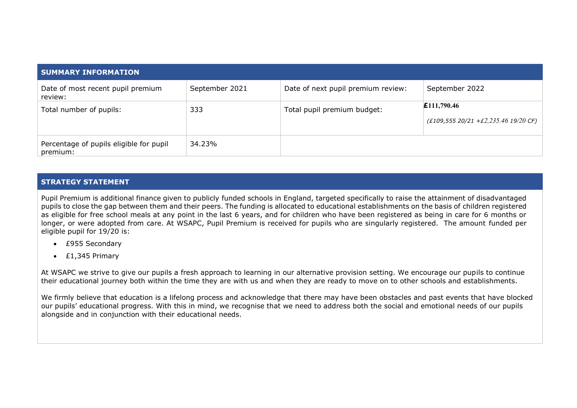| <b>SUMMARY INFORMATION</b>                          |                |                                    |                                                        |
|-----------------------------------------------------|----------------|------------------------------------|--------------------------------------------------------|
| Date of most recent pupil premium<br>review:        | September 2021 | Date of next pupil premium review: | September 2022                                         |
| Total number of pupils:                             | 333            | Total pupil premium budget:        | £111,790.46<br>$(£109,555 20/21 + £2,235.46 19/20 CF)$ |
| Percentage of pupils eligible for pupil<br>premium: | 34.23%         |                                    |                                                        |

## **STRATEGY STATEMENT**

Pupil Premium is additional finance given to publicly funded schools in England, targeted specifically to raise the attainment of disadvantaged pupils to close the gap between them and their peers. The funding is allocated to educational establishments on the basis of children registered as eligible for free school meals at any point in the last 6 years, and for children who have been registered as being in care for 6 months or longer, or were adopted from care. At WSAPC, Pupil Premium is received for pupils who are singularly registered. The amount funded per eligible pupil for 19/20 is:

- £955 Secondary
- £1,345 Primary

At WSAPC we strive to give our pupils a fresh approach to learning in our alternative provision setting. We encourage our pupils to continue their educational journey both within the time they are with us and when they are ready to move on to other schools and establishments.

We firmly believe that education is a lifelong process and acknowledge that there may have been obstacles and past events that have blocked our pupils' educational progress. With this in mind, we recognise that we need to address both the social and emotional needs of our pupils alongside and in conjunction with their educational needs.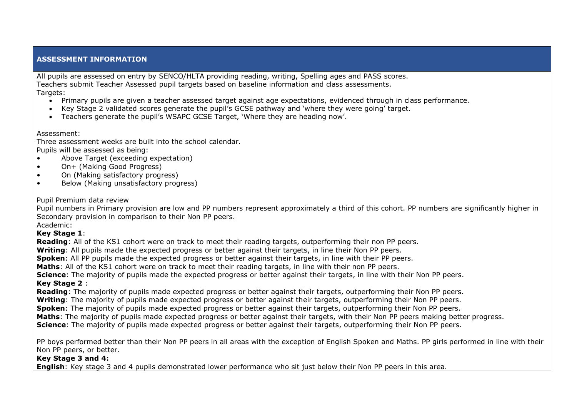## **ASSESSMENT INFORMATION**

All pupils are assessed on entry by SENCO/HLTA providing reading, writing, Spelling ages and PASS scores. Teachers submit Teacher Assessed pupil targets based on baseline information and class assessments. Targets:

- Primary pupils are given a teacher assessed target against age expectations, evidenced through in class performance.
- Key Stage 2 validated scores generate the pupil's GCSE pathway and 'where they were going' target.
- Teachers generate the pupil's WSAPC GCSE Target, 'Where they are heading now'.

Assessment:

Three assessment weeks are built into the school calendar. Pupils will be assessed as being:

- Above Target (exceeding expectation)
- On+ (Making Good Progress)
- On (Making satisfactory progress)
- Below (Making unsatisfactory progress)

#### Pupil Premium data review

Pupil numbers in Primary provision are low and PP numbers represent approximately a third of this cohort. PP numbers are significantly higher in Secondary provision in comparison to their Non PP peers. Academic:

**Key Stage 1**:

**Reading**: All of the KS1 cohort were on track to meet their reading targets, outperforming their non PP peers.

**Writing**: All pupils made the expected progress or better against their targets, in line their Non PP peers.

**Spoken**: All PP pupils made the expected progress or better against their targets, in line with their PP peers.

**Maths**: All of the KS1 cohort were on track to meet their reading targets, in line with their non PP peers.

**Science**: The majority of pupils made the expected progress or better against their targets, in line with their Non PP peers.

## **Key Stage 2** :

**Reading**: The majority of pupils made expected progress or better against their targets, outperforming their Non PP peers.

**Writing**: The majority of pupils made expected progress or better against their targets, outperforming their Non PP peers.

**Spoken**: The majority of pupils made expected progress or better against their targets, outperforming their Non PP peers.

**Maths**: The majority of pupils made expected progress or better against their targets, with their Non PP peers making better progress.

**Science**: The majority of pupils made expected progress or better against their targets, outperforming their Non PP peers.

PP boys performed better than their Non PP peers in all areas with the exception of English Spoken and Maths. PP girls performed in line with their Non PP peers, or better.

#### **Key Stage 3 and 4:**

**English**: Key stage 3 and 4 pupils demonstrated lower performance who sit just below their Non PP peers in this area.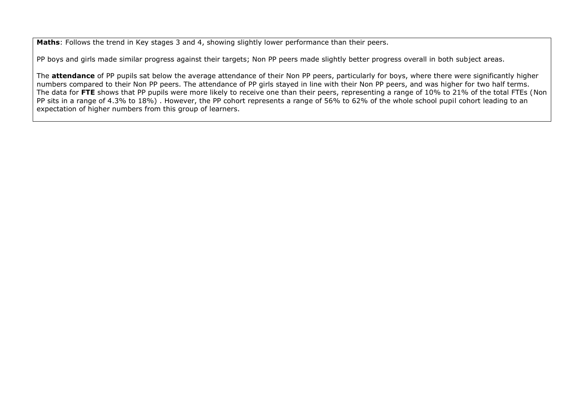**Maths**: Follows the trend in Key stages 3 and 4, showing slightly lower performance than their peers.

PP boys and girls made similar progress against their targets; Non PP peers made slightly better progress overall in both subject areas.

The **attendance** of PP pupils sat below the average attendance of their Non PP peers, particularly for boys, where there were significantly higher numbers compared to their Non PP peers. The attendance of PP girls stayed in line with their Non PP peers, and was higher for two half terms. The data for **FTE** shows that PP pupils were more likely to receive one than their peers, representing a range of 10% to 21% of the total FTEs (Non PP sits in a range of 4.3% to 18%) . However, the PP cohort represents a range of 56% to 62% of the whole school pupil cohort leading to an expectation of higher numbers from this group of learners.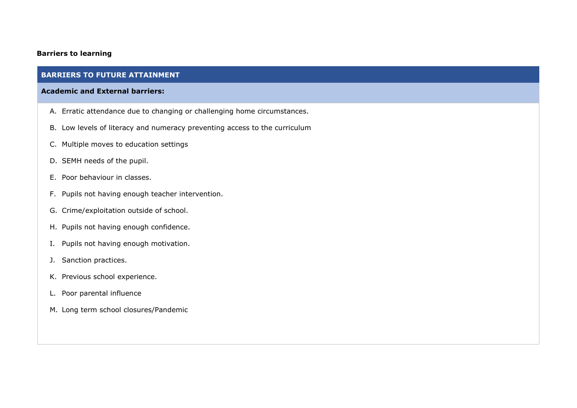## **Barriers to learning**

## **BARRIERS TO FUTURE ATTAINMENT**

#### **Academic and External barriers:**

- A. Erratic attendance due to changing or challenging home circumstances.
- B. Low levels of literacy and numeracy preventing access to the curriculum
- C. Multiple moves to education settings
- D. SEMH needs of the pupil.
- E. Poor behaviour in classes.
- F. Pupils not having enough teacher intervention.
- G. Crime/exploitation outside of school.
- H. Pupils not having enough confidence.
- I. Pupils not having enough motivation.
- J. Sanction practices.
- K. Previous school experience.
- L. Poor parental influence
- M. Long term school closures/Pandemic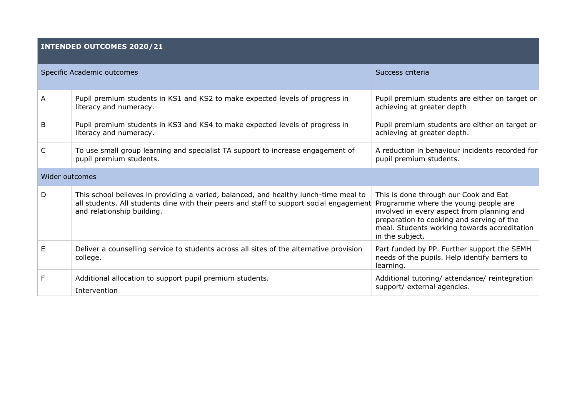# **INTENDED OUTCOMES 2020/21**

|                | Specific Academic outcomes                                                                                                                                                                                                                         | Success criteria                                                                                                                                                                                    |
|----------------|----------------------------------------------------------------------------------------------------------------------------------------------------------------------------------------------------------------------------------------------------|-----------------------------------------------------------------------------------------------------------------------------------------------------------------------------------------------------|
| Α              | Pupil premium students in KS1 and KS2 to make expected levels of progress in<br>literacy and numeracy.                                                                                                                                             | Pupil premium students are either on target or<br>achieving at greater depth                                                                                                                        |
| B              | Pupil premium students in KS3 and KS4 to make expected levels of progress in<br>literacy and numeracy.                                                                                                                                             | Pupil premium students are either on target or<br>achieving at greater depth.                                                                                                                       |
| C              | To use small group learning and specialist TA support to increase engagement of<br>pupil premium students.                                                                                                                                         | A reduction in behaviour incidents recorded for<br>pupil premium students.                                                                                                                          |
| Wider outcomes |                                                                                                                                                                                                                                                    |                                                                                                                                                                                                     |
| D.             | This school believes in providing a varied, balanced, and healthy lunch-time meal to<br>all students. All students dine with their peers and staff to support social engagement Programme where the young people are<br>and relationship building. | This is done through our Cook and Eat<br>involved in every aspect from planning and<br>preparation to cooking and serving of the<br>meal. Students working towards accreditation<br>in the subject. |
| E              | Deliver a counselling service to students across all sites of the alternative provision<br>college.                                                                                                                                                | Part funded by PP. Further support the SEMH<br>needs of the pupils. Help identify barriers to<br>learning.                                                                                          |
| F.             | Additional allocation to support pupil premium students.<br>Intervention                                                                                                                                                                           | Additional tutoring/ attendance/ reintegration<br>support/ external agencies.                                                                                                                       |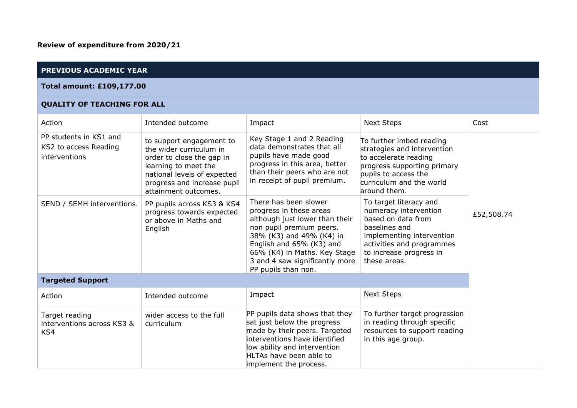# **PREVIOUS ACADEMIC YEAR**

#### **Total amount: £109,177.00**

## **QUALITY OF TEACHING FOR ALL**

| Action                                                           | Intended outcome                                                                                                                                                                               | Impact                                                                                                                                                                                                                                                          | <b>Next Steps</b>                                                                                                                                                                           | Cost       |
|------------------------------------------------------------------|------------------------------------------------------------------------------------------------------------------------------------------------------------------------------------------------|-----------------------------------------------------------------------------------------------------------------------------------------------------------------------------------------------------------------------------------------------------------------|---------------------------------------------------------------------------------------------------------------------------------------------------------------------------------------------|------------|
| PP students in KS1 and<br>KS2 to access Reading<br>interventions | to support engagement to<br>the wider curriculum in<br>order to close the gap in<br>learning to meet the<br>national levels of expected<br>progress and increase pupil<br>attainment outcomes. | Key Stage 1 and 2 Reading<br>data demonstrates that all<br>pupils have made good<br>progress in this area, better<br>than their peers who are not<br>in receipt of pupil premium.                                                                               | To further imbed reading<br>strategies and intervention<br>to accelerate reading<br>progress supporting primary<br>pupils to access the<br>curriculum and the world<br>around them.         |            |
| SEND / SEMH interventions.                                       | PP pupils across KS3 & KS4<br>progress towards expected<br>or above in Maths and<br>English                                                                                                    | There has been slower<br>progress in these areas<br>although just lower than their<br>non pupil premium peers.<br>38% (K3) and 49% (K4) in<br>English and 65% (K3) and<br>66% (K4) in Maths. Key Stage<br>3 and 4 saw significantly more<br>PP pupils than non. | To target literacy and<br>numeracy intervention<br>based on data from<br>baselines and<br>implementing intervention<br>activities and programmes<br>to increase progress in<br>these areas. | £52,508.74 |
| <b>Targeted Support</b>                                          |                                                                                                                                                                                                |                                                                                                                                                                                                                                                                 |                                                                                                                                                                                             |            |
| Action                                                           | Intended outcome                                                                                                                                                                               | Impact                                                                                                                                                                                                                                                          | <b>Next Steps</b>                                                                                                                                                                           |            |
| Target reading<br>interventions across KS3 &<br>KS4              | wider access to the full<br>curriculum                                                                                                                                                         | PP pupils data shows that they<br>sat just below the progress<br>made by their peers. Targeted<br>interventions have identified<br>low ability and intervention<br>HLTAs have been able to<br>implement the process.                                            | To further target progression<br>in reading through specific<br>resources to support reading<br>in this age group.                                                                          |            |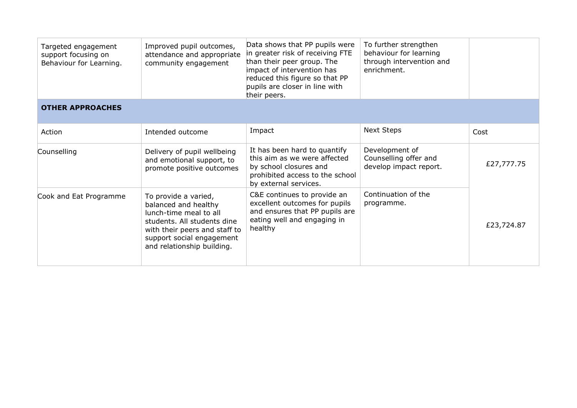| Targeted engagement<br>support focusing on<br>Behaviour for Learning. | Improved pupil outcomes,<br>attendance and appropriate<br>community engagement                                                                                                                    | Data shows that PP pupils were<br>in greater risk of receiving FTE<br>than their peer group. The<br>impact of intervention has<br>reduced this figure so that PP<br>pupils are closer in line with<br>their peers. | To further strengthen<br>behaviour for learning<br>through intervention and<br>enrichment. |            |
|-----------------------------------------------------------------------|---------------------------------------------------------------------------------------------------------------------------------------------------------------------------------------------------|--------------------------------------------------------------------------------------------------------------------------------------------------------------------------------------------------------------------|--------------------------------------------------------------------------------------------|------------|
| <b>OTHER APPROACHES</b>                                               |                                                                                                                                                                                                   |                                                                                                                                                                                                                    |                                                                                            |            |
| Action                                                                | Intended outcome                                                                                                                                                                                  | Impact                                                                                                                                                                                                             | <b>Next Steps</b>                                                                          | Cost       |
| Counselling                                                           | Delivery of pupil wellbeing<br>and emotional support, to<br>promote positive outcomes                                                                                                             | It has been hard to quantify<br>this aim as we were affected<br>by school closures and<br>prohibited access to the school<br>by external services.                                                                 | Development of<br>Counselling offer and<br>develop impact report.                          | £27,777.75 |
| Cook and Eat Programme                                                | To provide a varied,<br>balanced and healthy<br>lunch-time meal to all<br>students. All students dine<br>with their peers and staff to<br>support social engagement<br>and relationship building. | C&E continues to provide an<br>excellent outcomes for pupils<br>and ensures that PP pupils are<br>eating well and engaging in<br>healthy                                                                           | Continuation of the<br>programme.                                                          | £23,724.87 |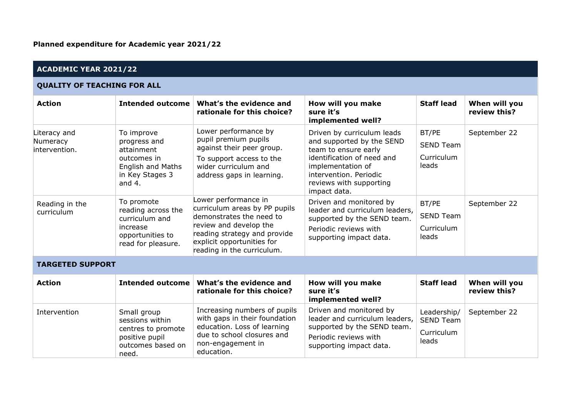| <b>ACADEMIC YEAR 2021/22</b>              |                                                                                                                    |                                                                                                                                                                                                         |                                                                                                                                                                                                         |                                                        |                               |  |
|-------------------------------------------|--------------------------------------------------------------------------------------------------------------------|---------------------------------------------------------------------------------------------------------------------------------------------------------------------------------------------------------|---------------------------------------------------------------------------------------------------------------------------------------------------------------------------------------------------------|--------------------------------------------------------|-------------------------------|--|
| <b>QUALITY OF TEACHING FOR ALL</b>        |                                                                                                                    |                                                                                                                                                                                                         |                                                                                                                                                                                                         |                                                        |                               |  |
| <b>Action</b>                             | <b>Intended outcome</b>                                                                                            | What's the evidence and<br>rationale for this choice?                                                                                                                                                   | How will you make<br>sure it's<br>implemented well?                                                                                                                                                     | <b>Staff lead</b>                                      | When will you<br>review this? |  |
| Literacy and<br>Numeracy<br>intervention. | To improve<br>progress and<br>attainment<br>outcomes in<br><b>English and Maths</b><br>in Key Stages 3<br>and $4.$ | Lower performance by<br>pupil premium pupils<br>against their peer group.<br>To support access to the<br>wider curriculum and<br>address gaps in learning.                                              | Driven by curriculum leads<br>and supported by the SEND<br>team to ensure early<br>identification of need and<br>implementation of<br>intervention. Periodic<br>reviews with supporting<br>impact data. | BT/PE<br><b>SEND Team</b><br>Curriculum<br>leads       | September 22                  |  |
| Reading in the<br>curriculum              | To promote<br>reading across the<br>curriculum and<br>increase<br>opportunities to<br>read for pleasure.           | Lower performance in<br>curriculum areas by PP pupils<br>demonstrates the need to<br>review and develop the<br>reading strategy and provide<br>explicit opportunities for<br>reading in the curriculum. | Driven and monitored by<br>leader and curriculum leaders,<br>supported by the SEND team.<br>Periodic reviews with<br>supporting impact data.                                                            | BT/PE<br><b>SEND Team</b><br>Curriculum<br>leads       | September 22                  |  |
| <b>TARGETED SUPPORT</b>                   |                                                                                                                    |                                                                                                                                                                                                         |                                                                                                                                                                                                         |                                                        |                               |  |
| <b>Action</b>                             | <b>Intended outcome</b>                                                                                            | What's the evidence and<br>rationale for this choice?                                                                                                                                                   | How will you make<br>sure it's<br>implemented well?                                                                                                                                                     | <b>Staff lead</b>                                      | When will you<br>review this? |  |
| Intervention                              | Small group<br>sessions within<br>centres to promote<br>positive pupil<br>outcomes based on<br>need.               | Increasing numbers of pupils<br>with gaps in their foundation<br>education. Loss of learning<br>due to school closures and<br>non-engagement in<br>education.                                           | Driven and monitored by<br>leader and curriculum leaders,<br>supported by the SEND team.<br>Periodic reviews with<br>supporting impact data.                                                            | Leadership/<br><b>SEND Team</b><br>Curriculum<br>leads | September 22                  |  |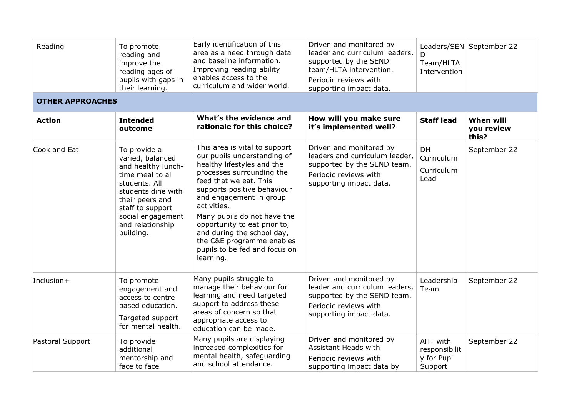| Reading                 | To promote<br>reading and<br>improve the<br>reading ages of<br>pupils with gaps in<br>their learning.                                                                                                          | Early identification of this<br>area as a need through data<br>and baseline information.<br>Improving reading ability<br>enables access to the<br>curriculum and wider world.                                                                                                                                                                                                                      | Driven and monitored by<br>leader and curriculum leaders,<br>supported by the SEND<br>team/HLTA intervention.<br>Periodic reviews with<br>supporting impact data. | Team/HLTA<br>Intervention                           | Leaders/SEN September 22         |
|-------------------------|----------------------------------------------------------------------------------------------------------------------------------------------------------------------------------------------------------------|----------------------------------------------------------------------------------------------------------------------------------------------------------------------------------------------------------------------------------------------------------------------------------------------------------------------------------------------------------------------------------------------------|-------------------------------------------------------------------------------------------------------------------------------------------------------------------|-----------------------------------------------------|----------------------------------|
| <b>OTHER APPROACHES</b> |                                                                                                                                                                                                                |                                                                                                                                                                                                                                                                                                                                                                                                    |                                                                                                                                                                   |                                                     |                                  |
| <b>Action</b>           | <b>Intended</b><br>outcome                                                                                                                                                                                     | What's the evidence and<br>rationale for this choice?                                                                                                                                                                                                                                                                                                                                              | How will you make sure<br>it's implemented well?                                                                                                                  | <b>Staff lead</b>                                   | When will<br>you review<br>this? |
| Cook and Eat            | To provide a<br>varied, balanced<br>and healthy lunch-<br>time meal to all<br>students. All<br>students dine with<br>their peers and<br>staff to support<br>social engagement<br>and relationship<br>building. | This area is vital to support<br>our pupils understanding of<br>healthy lifestyles and the<br>processes surrounding the<br>feed that we eat. This<br>supports positive behaviour<br>and engagement in group<br>activities.<br>Many pupils do not have the<br>opportunity to eat prior to,<br>and during the school day,<br>the C&E programme enables<br>pupils to be fed and focus on<br>learning. | Driven and monitored by<br>leaders and curriculum leader,<br>supported by the SEND team.<br>Periodic reviews with<br>supporting impact data.                      | DH<br>Curriculum<br>Curriculum<br>Lead              | September 22                     |
| Inclusion $+$           | To promote<br>engagement and<br>access to centre<br>based education.<br>Targeted support<br>for mental health.                                                                                                 | Many pupils struggle to<br>manage their behaviour for<br>learning and need targeted<br>support to address these<br>areas of concern so that<br>appropriate access to<br>education can be made.                                                                                                                                                                                                     | Driven and monitored by<br>leader and curriculum leaders,<br>supported by the SEND team.<br>Periodic reviews with<br>supporting impact data.                      | Leadership<br>Team                                  | September 22                     |
| Pastoral Support        | To provide<br>additional<br>mentorship and<br>face to face                                                                                                                                                     | Many pupils are displaying<br>increased complexities for<br>mental health, safeguarding<br>and school attendance.                                                                                                                                                                                                                                                                                  | Driven and monitored by<br>Assistant Heads with<br>Periodic reviews with<br>supporting impact data by                                                             | AHT with<br>responsibilit<br>y for Pupil<br>Support | September 22                     |